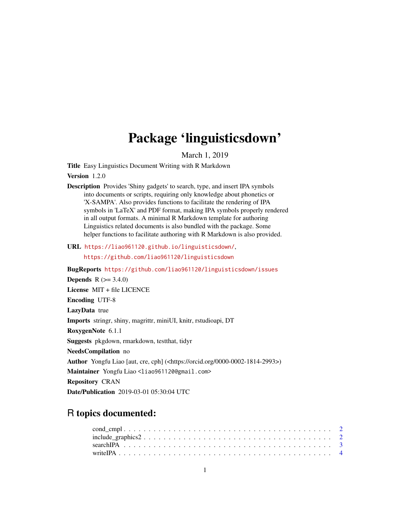## Package 'linguisticsdown'

March 1, 2019

<span id="page-0-0"></span>Title Easy Linguistics Document Writing with R Markdown

Version 1.2.0

Description Provides 'Shiny gadgets' to search, type, and insert IPA symbols into documents or scripts, requiring only knowledge about phonetics or 'X-SAMPA'. Also provides functions to facilitate the rendering of IPA symbols in 'LaTeX' and PDF format, making IPA symbols properly rendered in all output formats. A minimal R Markdown template for authoring Linguistics related documents is also bundled with the package. Some helper functions to facilitate authoring with R Markdown is also provided.

URL <https://liao961120.github.io/linguisticsdown/>,

<https://github.com/liao961120/linguisticsdown>

BugReports <https://github.com/liao961120/linguisticsdown/issues> **Depends**  $R (= 3.4.0)$ License MIT + file LICENCE Encoding UTF-8 LazyData true Imports stringr, shiny, magrittr, miniUI, knitr, rstudioapi, DT RoxygenNote 6.1.1 Suggests pkgdown, rmarkdown, testthat, tidyr NeedsCompilation no Author Yongfu Liao [aut, cre, cph] (<https://orcid.org/0000-0002-1814-2993>) Maintainer Yongfu Liao <liao961120@gmail.com> Repository CRAN Date/Publication 2019-03-01 05:30:04 UTC

### R topics documented: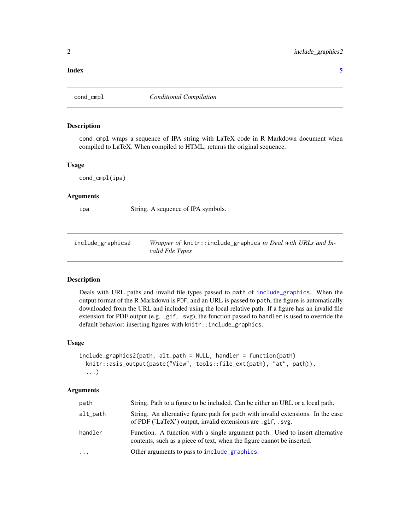#### <span id="page-1-0"></span>**Index** [5](#page-4-0). The second state of the second state of the second state of the second state of the second state of the second state of the second state of the second state of the second state of the second state of the second

#### Description

cond\_cmpl wraps a sequence of IPA string with LaTeX code in R Markdown document when compiled to LaTeX. When compiled to HTML, returns the original sequence.

#### Usage

cond\_cmpl(ipa)

#### Arguments

ipa String. A sequence of IPA symbols.

include\_graphics2 *Wrapper of* knitr::include\_graphics *to Deal with URLs and Invalid File Types*

#### Description

Deals with URL paths and invalid file types passed to path of [include\\_graphics](#page-0-0). When the output format of the R Markdown is PDF, and an URL is passed to path, the figure is automatically downloaded from the URL and included using the local relative path. If a figure has an invalid file extension for PDF output (e.g. .gif, .svg), the function passed to handler is used to override the default behavior: inserting figures with knitr::include\_graphics.

#### Usage

```
include_graphics2(path, alt_path = NULL, handler = function(path)
  knitr::asis_output(paste("View", tools::file_ext(path), "at", path)),
  ...)
```
#### Arguments

| path     | String. Path to a figure to be included. Can be either an URL or a local path.                                                                         |
|----------|--------------------------------------------------------------------------------------------------------------------------------------------------------|
| alt_path | String. An alternative figure path for path with invalid extensions. In the case<br>of PDF ('LaTeX') output, invalid extensions are .gif, .svg.        |
| handler  | Function. A function with a single argument path. Used to insert alternative<br>contents, such as a piece of text, when the figure cannot be inserted. |
| $\cdot$  | Other arguments to pass to include graphics.                                                                                                           |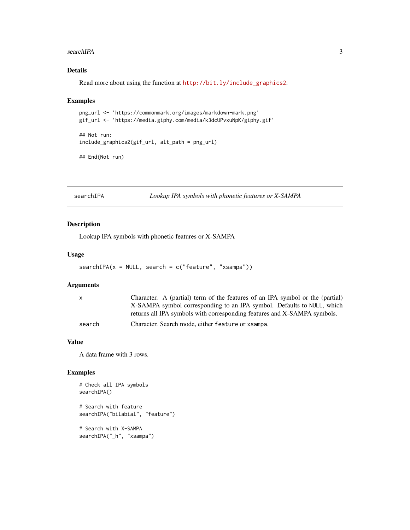#### <span id="page-2-0"></span>searchIPA 3

#### Details

Read more about using the function at [http://bit.ly/include\\_graphics2](http://bit.ly/include_graphics2).

#### Examples

```
png_url <- 'https://commonmark.org/images/markdown-mark.png'
gif_url <- 'https://media.giphy.com/media/k3dcUPvxuNpK/giphy.gif'
## Not run:
include_graphics2(gif_url, alt_path = png_url)
```

```
## End(Not run)
```
searchIPA *Lookup IPA symbols with phonetic features or X-SAMPA*

#### Description

Lookup IPA symbols with phonetic features or X-SAMPA

#### Usage

```
searchIPA(x = NULL, search = c("feature", "xsampa"))
```
#### Arguments

| X      | Character. A (partial) term of the features of an IPA symbol or the (partial) |
|--------|-------------------------------------------------------------------------------|
|        | X-SAMPA symbol corresponding to an IPA symbol. Defaults to NULL, which        |
|        | returns all IPA symbols with corresponding features and X-SAMPA symbols.      |
| search | Character. Search mode, either feature or x sampa.                            |

#### Value

A data frame with 3 rows.

#### Examples

```
# Check all IPA symbols
searchIPA()
# Search with feature
searchIPA("bilabial", "feature")
# Search with X-SAMPA
searchIPA("_h", "xsampa")
```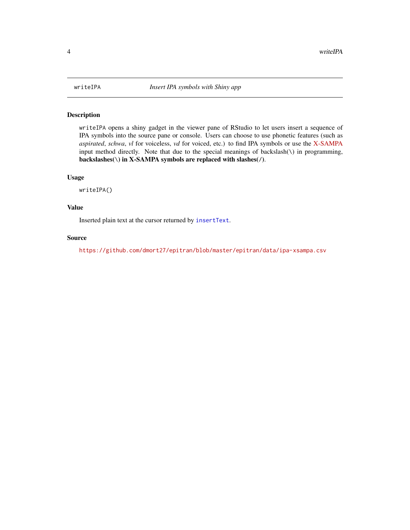<span id="page-3-0"></span>

#### Description

writeIPA opens a shiny gadget in the viewer pane of RStudio to let users insert a sequence of IPA symbols into the source pane or console. Users can choose to use phonetic features (such as *aspirated*, *schwa*, *vl* for voiceless, *vd* for voiced, etc.) to find IPA symbols or use the [X-SAMPA](https://en.wikipedia.org/wiki/X-SAMPA) input method directly. Note that due to the special meanings of backslash( $\iota$ ) in programming, backslashes( $\setminus$ ) in X-SAMPA symbols are replaced with slashes( $\setminus$ ).

#### Usage

writeIPA()

#### Value

Inserted plain text at the cursor returned by [insertText](#page-0-0).

#### Source

<https://github.com/dmort27/epitran/blob/master/epitran/data/ipa-xsampa.csv>